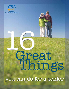

# 1 GI 6 reat Things

you can do for a senior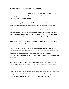#### **16 GREAT THINGS YOU CAN DO FOR A SENIOR**

At Society of Certified Senior Advisors, we know that few things are more satisfying than helping a senior to live a healthier, happier, more fulfilling life. This booklet is for people who want to make that happen.

You can make a big difference in the life of a senior in more ways than one. In fact, we've identified 16 great things you can do, and these are just a drop in the bucket.

With so many possibilities, how do you know where to begin or what will make the biggest difference? The best way to get started is to hone your powers of observation and improve your listening skills. Be proactive. Make an effort to pay the same kind of attention to your clients that you muster up for your friends and family.

Think of every meeting as an opportunity to detect a problem or identify a need. If you stop, look and listen, you'll find plenty of clues.

 Do your clients look well? Do they appear healthy and energetic? Are they clean and well-dressed? Is their home tidy and well-maintained? What about their social life? Are there family issues? Do their pets look neglected? Are their papers filed and wellorganized? How computer-savvy are they? What topics of conversation crop up over and over again?

With just a little time and effort, you'll be surprised how easy it is to figure out where you can make a difference. After that, all it takes is time, research, energy and maybe a little elbow-grease.

Being a friend, an ally and an advocate for your client means much more than being just a purveyor of products and services. It turns you into an invaluable resource, someone who has earned your clients' trust, respect and loyalty. (That's what Society of Certified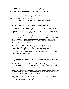Senior Advisors is all about, but more about that later.) Once you've gone the extra mile, you'll experience the satisfaction of a job well-done and discover it feels good too.

So take a look at our list and tips on implementation. Better yet, meet with your clients, start your own list and start making a difference.

# **16 GREAT THINGS YOU CAN DO FOR A SENIOR!**

# **1. Show Them How to Take Advantage of New Technologies.**

Remember the first time you used a computer? And tried programming your cell phone, VCR, DVD or cable? It isn't as easy as you'd think. Instruction manuals are printed in midget type and the tiny buttons on remotes and digital equipment make following the instructions even harder.

Many seniors are techno-savvy. But those who aren't are often afraid of new technologies and frustrated by the equipment and manuals. You can help your clients enjoy a whole new world of communication and information by taking the time to determine what kind of equipment they have and finding out what they know and where they are having difficulties.

Walking them through the basics can help them overcome their fears but if technology isn't your bag, don't worry. There are lots of classes at senior centers, libraries, schools, community colleges and universities. Retail stores and manufacturers even offer special courses. A little research will reveal plenty of experts with up-to-the-minute know-how who are teaching students of all ages how to make technology work for them.

# **2. Teach Them How to use a Digital Camera or Cell Phone to Send and Receive Photos.**

There's nothing more exciting than getting photos of your first grandchild. Twenty years ago, photos came by mail. Today, they arrive instantly – if you have a digital camera, computer or cell phone and know how to send and retrieve them.

Think what a difference it would make if your client could carry on conversations and exchange photos and computer-generated greeting cards with their children, friends and family across the country and around the world.

The first step is to find out if they are interested. Demonstrate how the technology works and see how they respond. If they want to know more, offer to schedule lessons or direct them to specific classes.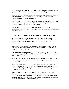If you sense they are simply not into or up to digital photography, there are still ways you can enable them to share their photos and memories of happy times.

There are probably packets of photos stacked in shoe boxes, sliding out of albums or shut away in desk drawers. Maybe they would appreciate a little assistance organizing them or putting them in albums.

Introduce them to Scrapbooking, a popular new method of personalizing photos and memorabilia. Virtually every community has a Scrapbooking course or craft center where you can purchase materials and take courses.

Sharing your clients' photos will tell you more about them than hours of conversation. And the best part? Watching their faces when they send or receive their first digital photo.

# **3. Take Them to a Health Fair and Document Their Medical Information.**

With health costs spiraling, getting and staying healthy is a must for today's seniors. While many have health plans that provide for annual check-ups, local Health Fairs are a low-cost, low-stress option for those who have minimal insurance or hate going to the doctor.

Community Health Fairs are often sponsored by hospitals, clinics and non-profit organizations. They offer a series of tests for free or at reduced rates and provide information on healthy lifestyles.

Encourage your clients to attend and offer to accompany them. Before you go, try gathering a family medical history. This will be useful not only for the Health Fair but also for family members.

When you take a medical history, you may discover that your clients don't have good medical records or documented information about their physicians, medications or medical wishes.

This would be a good time to create a document with their doctors' names and contact information along with a list of prescriptions, pharmacies and instructions. Printing it in large type and having it laminated would be invaluable daily and even more valuable in an emergency.

There are other, less intrusive ways, to make a difference in your clients' health. One option is to invite them to participate in charitable walks or on strolls around town. Stop by and present them with a set of hand weights and demonstrate how to use them. A gift of even a simple day-by-day pill case will ensure their medication is taken on the right day and in the correct dosage.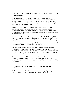# **4. Ask About a Will, Living Will, Advance Directives, Powers of Attorney and Filing Systems.**

Death and dying are incredibly difficult topics. No one wants to think they may become incapacitated, much less die. That's why so many people put off dealing with these matters. In fact, only 41 percent of Americans have wills. Not dealing with these issues, however, is bound to create problems down the line, not only for your clients but also for their families.

So what can you do? There are sensitive ways to approach these subjects. The best approach may be to inquire as part of a more general discussion. For example, when you're gathering information for a medical history, inquire if they have a Living Will or other Advance Directives, such as a Do Not Resuscitate Order or Organ Donor Card.

From there, ask if they have other important documents such a Will, Living Will or Powers of Attorney. If they have these documents, the next step is to make sure that appropriate family members and doctors have access to them in case of emergency.

If they haven't gotten around to arranging for these documents, provide them with the names of professionals you trust and make the introductions.

Financial records, such as banking institutions, brokerage accounts, insurance policies, mortgages, titles and registrations and other forms of identification, such as passports and Social Security cards, need to be easy-to-find too. Check to make sure they are organized in clearly marked folders. Family members should have a list of the files and know where they are kept.

Getting involved in end-of-life issues may seem like a lot of work and create some discomfort. However, once you explain why these matters are necessary and simplify the process, you'll be surprised by how grateful clients are you initiated the conversation.

# **5. Arrange for Them to Obtain a Home Energy Audit or Energy Bill Assistance.**

Healthcare costs aren't the only things that are skyrocketing. High energy costs are making it increasingly difficult for seniors to pay their utility bills.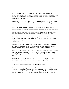And it's not only their bank accounts that are suffering. Their health is too. In order to keep their bills low, seniors turn their thermostats down in the cold winter months and boost them up in the summer. Every year there are tragic reports of seniors dying from exposure.

This doesn't have to happen. There are government programs that provide financial assistance. Unfortunately, seniors are often unaware of them or unwilling to ask for help.

If you visit a client and notice that their home feels especially cold or unusually warm, ask if they are having problems with their furnace or paying their utility bills.

If the problem appears to be financial, put them in touch with the utility company. The utility can put them on budget billing to spread the cost out over a year.

Depending on income, your client might also qualify for financial assistance from LEAP, the government's Low-Income Energy Assistance Program. Every state offers this program and applications can be obtained on-line, by mail or at social service organizations.

If the problem is energy-related, see if your local utility will conduct a free home energy audit. The audit will show where the house is losing or gaining heat and provide practical tips on how to improve the home's energy efficiency.

There are simple things you can do as well. Take a look around the house. You may spot some obvious problems such as lack of weather stripping. Installing weather stripping is easy and inexpensive. All you need is a few tools and minimal technical skills.

Whatever you do, don't wait for June or November to roll around. The earlier you start, the sooner your clients can start saving on their energy bills.

## **6. Create a Family History They Can Share With Others.**

Do you know where your great-great-grandparents were born or how they came to this country? Can you describe how they lived, worked or died? If you don't know much, you're not alone. Once our elders pass away, family histories and traditions are lost if they're not documented and preserved by family members or friends.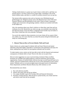Taking a family history is a great way to get to know a client and is a gift they can treasure forever. You don't need to be an expert either. Genealogy is one of the hottest hobbies today, and there is a wealth of excellent resources you can tap into.

The internet offers numerous sites such as Ancestry.com, EllisIsland.org and genhomepage.com. Religious groups such as the Mormons have some of the most extensive libraries and documentation in the world. Closer to home, community colleges pack classrooms with genealogy students. Libraries are stocked with books on the subject too.

Ask a few questions about your client's relatives or where they came from and you could get an ear-full. Researchers say when you age, you remember more about the past than the present. Great-aunt Mary's emigration from Sweden may be fresher in your client's mind than who won yesterday's ball game.

You can be the conduit for these memories or set your clients off on a quest of their own. Either way, if it's true what they say about the journey being the destination, get ready for a fascinating trip.

# **7. Educate Them on How to Prevent Identity Theft and Fraud.**

Senior citizens are a prime target for identity theft and fraud. Physical and mental infirmities make them highly vulnerable to victimization and exploitation and many live alone, making them easy marks for unscrupulous salesmen and con artists.

To make matters worse, seniors are the least able to deal with the financial and emotional consequences of identity theft or fraud. Worst of all, there are no quick fixes.

Here are some suggestions on ways to prevent being victimized. Many excellent brochures are available from federal agencies, financial institutions and non-profit organizations. Society of Certified Senior Advisors has tips to avoid financial fraud on its website, and each Certified Senior Advisor has access to free information on how protect seniors. Websites such as www.privacyrights.org are also good sources of information. Police departments and Better Business Bureau may offer seminars as well.

Recommend that your clients:

- a. Pay cash wherever possible.
- b. Destroy old credit cards and rip up carbons.
- c. Use a paper shredder to get rid of receipts, bills and financial information.
- d. Purchase a locked mail box. Mail all mail at a postal facility, not a home mail box and retrieve mail from the box promptly.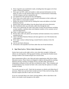- **e.** Never respond to any unsolicited e-mails, including those that appear to be from banks or financial institutions.
- f. Never give out SSN, credit card number or other personal information over the phone, by mail or on the internet unless you have a trusted business relationship with the company and have initiated the call.
- g. Get registered on the national Do Not Call Registry.
- h. Never carry extra credit cards or social security information in their wallets and keep wallets in a secure place at home.
- i. Reduce the amount of junk mail by sending their name and address to the Mail Preference Service.
- j. Remove their name and address from the phone book and reverse directories.
- **k.** Pick checkbook orders up at the bank, rather than through the mail.
- **l.** Keep a list or photocopy all credit cards, bank accounts and investments including account numbers, expiration dates and telephone numbers of the customer service and fraud departments.
- **m.** Order a credit report once a year.
- **n.** Review their credit card, phone and cell phone and bank statements every month for unauthorized use.
- **o.** Check with Better Business Bureaus and state agencies to see if the business has claims against it.
- **p.** Never sign a contract without having a trusted friend or attorney review the document.
- **q.** Ask for and check references.
- **r.** Do business with reputable local firms rather than out-of-state businesses.

# **8. Sign Them Up for a "Driver Safety Education" Class**

Seniors hate to give up the right to drive, even when their eyesight is failing and reflexes are slowing down. Driving equals freedom, and losing that freedom means relying on others to do errands and get out to social events.

State transportation offices, auto clubs and senior organizations offer Driver Safety Education courses. These classes are designed to improve driving skills by teaching defensive driving. Teachers accompany drivers, test their skills, and make an independent evaluation of how safe they are behind the wheel. Their evaluation and recommendations may resonate far better with a senior than the opinion of a family member or friend.

You can do your part as well. Check the tire pressure on vehicles and inflate them if necessary. Make sure cars have been recently serviced. If they need servicing, obtain discount coupons and offer to take cars in for them.

If you are concerned about your client's driving abilities, offer to take them to the doctor, run errands or pick up guests at the airport.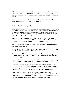When it comes time to renew their driver's license, be supportive. Seniors are anxious about passing the vision, written and driving tests. Review the materials with them so they are comfortable with the questions and accompany them to the Drivers License Bureau.

Knowing how to drive, when to drive and when to quit can save not only the lives of seniors but the lives of loved ones and other motorists.

#### **9. Help with a Home Safety Audit**

It's a well-known fact that more accidents occur at home than anywhere else. When it comes to seniors, the numbers are even higher. Statistics show that falls are the cause of 70 percent of accidental deaths to people over the age of 75 and 40 percent of all nursing home admissions. Sadly, some twenty-five percent of seniors who fall and suffer hip fractures die within a year.

These statistics are frightening but it's not just the falls themselves that impact seniors. It's the fear of falling itself. When a friend or family member falls and is injured or put into a nursing home, seniors are afraid it will happen to them too.

Before long, they give up their daily walks and social activities, making them even less mobile and more isolated.

One way to prevent falls is to arrange for a professional home safety audit. The audit will identify areas of concern and offer recommendations.

Take a look around the house the next time you visit. Check to see that rugs are wrinkle-free and edges are firmly tacked in place. If there are area rugs, make sure there are no-slip pads beneath them.

Inspect the bathrooms. Do the tubs and showers have no slip-mats, decals and safety bars? Are hand-held electrical appliances located too close to the sinks or tubs?

What about lighting around the staircases and porches and in the bathrooms and kitchen? Are the bulbs the correct wattage for the fixtures? If the lighting is poor, help locate a handyman who can take care of the job. There are non-profit home repair organizations in many cities that charge seniors low fees for home improvements.

Some home safety solutions are remarkably easy. Pick up clutter. Install new batteries in smoke detectors. Hire neighborhood kids to shovel the walks. Think about safety measures in your own home and you'll come up with dozens of ways you can help. Just remember, an ounce of prevention is worth a pound of cure.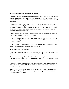# **10. Create Opportunities to Socialize and Learn.**

Loneliness, boredom and apathy are common emotions that plague seniors. The death of a spouse and distance from friends and family members can leave seniors lonely and isolated. Poor health or disabilities may prevent them from getting out of the house and socializing.

Sitting home in front of the television day in and day out is no substitute for engaging with others and exchanging ideas, especially when hundreds of courses and activities are available at community centers, colleges and non-profit organizations. Get a catalogue and review the courses with them. With all the choices, there is bound to a class or program that sparks their interest.

If travel is their bag, "Elderhostel," an affordable international program that combines learning with travel, might be just up their alley.

Perhaps they have a hobby, such as fishing or shuffleboard. Invite them along the next time you're heading out to the lake or recreational complex. Offer to take them to church, or take in a movie.

In the end, it doesn't really matter what you do. It's the fact you've taken the time and effort to include them and your interaction that counts.

## **11. Provide Pet or Vet Assistance**

Studies show that people who have pets live longer and healthier lives. Having a Fido or Fluffy to care for keeps seniors active and emotionally fulfilled.

Pets are family too. If you're pet-friendly pop for a toy, or tag along during walks. Make sure pets are being properly fed and groomed. Offer to pet sit, take pets to the groomer or in for annual vaccinations.

No pet. No problem. Seniors can still enjoy the company of a pet. Numerous non-profit organizations train pets and take them around to nursing homes, senior housing and recreation centers.

There are also inexpensive ways to obtain a pet. Non-profit organizations such as the Dumb Friends League, the Max Fund and city and county agencies rescue pets and charge low-fees for adoption.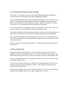# **12. Teach Games and Organize Puzzle Exchanges**

Use or lose it – at least that's what they say. Mind-challenging puzzles and games are excellent tools for boosting brainpower and bringing people together.

If your community doesn't have a game and puzzle exchange, start one. If they have one, add to it. Check around the house and see if you have any games you haven't played lately. Ask your friends or local businesses to donate. Stop by a Goodwill or Salvation Army outlet. You can usually find all kinds of games on the shelves.

You can also volunteer to teach games at the local recreation or senior center. There are many new games, such as Sudoku, that seniors are unfamiliar with.

The internet provides hundreds of game sites. Seniors who have access to the internet and know how to use it have a world of puzzle and game opportunities at their fingertips.

Library shelves are filled with puzzle and game books. Take a few out and loan them to a senior. Buy a puzzle book at your supermarket or drugstore to take as a gift the next time you visit your client.

Better yet, pick out a puzzle and do it together. Two heads are better than one and a lot more fun too.

## **13. Plant a Window Box.**

Living plants bring color and add joy to our lives. Many seniors are active and avid gardeners. If they are still gardening, ask if you can spend some time in the garden with them. Bring along a picnic lunch or a gift such as gloves, a sunhat or rolling garden stool.

If they no longer garden or live in an apartment or condo, there are several ways to bring the outdoors inside to them.

Visit your local nursery and pick out a window box or pretty garden pot. Find out what plants or herbs are in season and fill the container. Add a big bow and attach a miniwatering can and instructions.

As the seasons change, come by and re-plant the container. Your client will welcome the attention and the planter will serve as a daily reminder of your concern.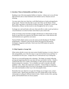#### 14. **Introduce Them to Bookmobiles and Books on Tape.**

Reading is one of the most popular hobbies in America. Library use is at an all-time high and book sales at chain bookstores and websites such as Amazon.com are booming.

You may notice that your client has a well-filled bookcase or books and paperbacks lying around. Find out what they like to read. Ask if they use the library. If they don't, offer to get them a card and list of library locations. Arrange for a visit to the Bookmobile, a library van that travels to sites throughout the city or county.

Exchange new and used books with your client and offer to order or pick up books at a local bookstore or on-line for them. Invite them to join a book club.

If they are losing or have lost their eyesight, tell them how to obtain books on tape. Books on tape tend to be expensive but libraries usually have a wide selection and used bookstores are a good low-cost source.

National Public Radio stations across the nation provide Reading for The Blind programming. Volunteers come into the station and read local and national newspapers, magazines and books. Check your local NPR station for specific programming.

## **15. Help Organize a Garage Sale.**

When seniors decide to move into more senior-friendly housing, or to move closer to kids and grandkids, one of the first steps is to get rid of all that excess stuff they've accumulated over the years. Garage sales are a tried-and-true way of doing that.

The key to a successful garage sale is planning. The longer you spend collecting, pricing and organizing items for your sale, the more successful it will be. Choose a weekend date that won't conflict with holidays or other special events that might distract prospective customers. Try to schedule your sale to coincide with other neighbors' sales. More sales equal more customers. Cluster things in categories. Place the most desirable items in the back of the garage so browsers have to look at your other merchandise on their way to the most popular items.

Remember that your objective is to get rid of things you no longer want, so don't overprice items. Spend some time before your sale visiting others to get a feel for what people are asking for different kinds of items. Books, records, tools, sporting goods, and household items are always popular.